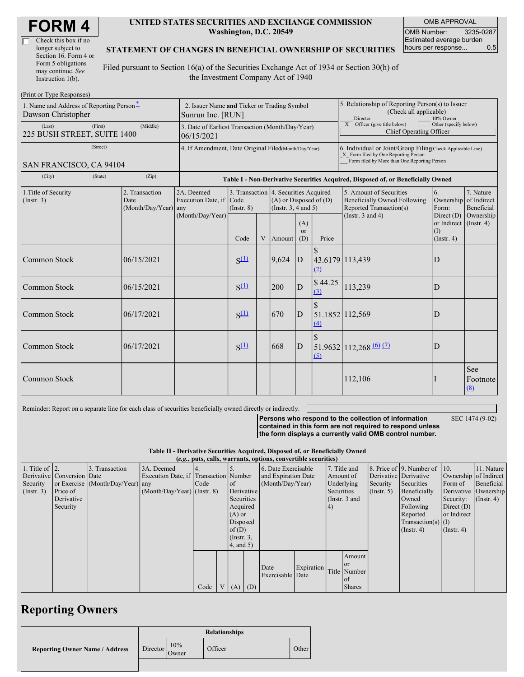| <b>FORM4</b> |
|--------------|
|--------------|

| Check this box if no  |
|-----------------------|
| longer subject to     |
| Section 16. Form 4 or |
| Form 5 obligations    |
| may continue. See     |
| Instruction $1(b)$ .  |

#### **UNITED STATES SECURITIES AND EXCHANGE COMMISSION Washington, D.C. 20549**

OMB APPROVAL OMB Number: 3235-0287 Estimated average burden hours per response... 0.5

#### **STATEMENT OF CHANGES IN BENEFICIAL OWNERSHIP OF SECURITIES**

Filed pursuant to Section 16(a) of the Securities Exchange Act of 1934 or Section 30(h) of the Investment Company Act of 1940

| (Print or Type Responses)                                      |                                                                  |                                                                                  |                                                                |                     |   |                                                                                             |                                                                                                     |                        |                                                                                                                                                    |                                                   |                                        |  |
|----------------------------------------------------------------|------------------------------------------------------------------|----------------------------------------------------------------------------------|----------------------------------------------------------------|---------------------|---|---------------------------------------------------------------------------------------------|-----------------------------------------------------------------------------------------------------|------------------------|----------------------------------------------------------------------------------------------------------------------------------------------------|---------------------------------------------------|----------------------------------------|--|
| 1. Name and Address of Reporting Person-<br>Dawson Christopher | 2. Issuer Name and Ticker or Trading Symbol<br>Sunrun Inc. [RUN] |                                                                                  |                                                                |                     |   |                                                                                             | 5. Relationship of Reporting Person(s) to Issuer<br>(Check all applicable)<br>Director<br>10% Owner |                        |                                                                                                                                                    |                                                   |                                        |  |
| (Last)<br>(First)<br>(Middle)<br>225 BUSH STREET, SUITE 1400   |                                                                  |                                                                                  | 3. Date of Earliest Transaction (Month/Day/Year)<br>06/15/2021 |                     |   |                                                                                             |                                                                                                     |                        | $\overline{X}$ Officer (give title below)<br>Other (specify below)<br>Chief Operating Officer                                                      |                                                   |                                        |  |
| (Street)<br>SAN FRANCISCO, CA 94104                            |                                                                  |                                                                                  | 4. If Amendment, Date Original Filed(Month/Day/Year)           |                     |   |                                                                                             |                                                                                                     |                        | 6. Individual or Joint/Group Filing(Check Applicable Line)<br>X Form filed by One Reporting Person<br>Form filed by More than One Reporting Person |                                                   |                                        |  |
| (State)<br>(City)                                              |                                                                  | Table I - Non-Derivative Securities Acquired, Disposed of, or Beneficially Owned |                                                                |                     |   |                                                                                             |                                                                                                     |                        |                                                                                                                                                    |                                                   |                                        |  |
| 1. Title of Security<br>Date<br>(Insert. 3)                    |                                                                  | 2. Transaction<br>$(Month/Day/Year)$ any                                         | 2A. Deemed<br>Execution Date, if                               | Code<br>(Insert, 8) |   | 3. Transaction 4. Securities Acquired<br>$(A)$ or Disposed of $(D)$<br>(Insert. 3, 4 and 5) |                                                                                                     |                        | 5. Amount of Securities<br><b>Beneficially Owned Following</b><br>Reported Transaction(s)                                                          | 6.<br>Ownership<br>Form:                          | 7. Nature<br>of Indirect<br>Beneficial |  |
|                                                                |                                                                  |                                                                                  | (Month/Day/Year)                                               | Code                | V | Amount                                                                                      | (A)<br><b>or</b><br>(D)                                                                             | Price                  | (Instr. $3$ and $4$ )                                                                                                                              | Direct $(D)$<br>or Indirect<br>(1)<br>(Insert, 4) | Ownership<br>$($ Instr. 4 $)$          |  |
| Common Stock                                                   |                                                                  | 06/15/2021                                                                       |                                                                | $S^{(1)}$           |   | 9,624                                                                                       | D                                                                                                   | 43.6179 113,439<br>(2) |                                                                                                                                                    | D                                                 |                                        |  |
| Common Stock                                                   |                                                                  | 06/15/2021                                                                       |                                                                | $S^{(1)}$           |   | 200                                                                                         | $\overline{D}$                                                                                      | \$44.25<br>(3)         | 113,239                                                                                                                                            | D                                                 |                                        |  |
| Common Stock                                                   |                                                                  | 06/17/2021                                                                       |                                                                | $S^{(1)}$           |   | 670                                                                                         | $\mathbf{D}$                                                                                        | 51.1852 112,569<br>(4) |                                                                                                                                                    | D                                                 |                                        |  |
| Common Stock                                                   |                                                                  | 06/17/2021                                                                       |                                                                | $S^{(1)}$           |   | 668                                                                                         | $\mathbf{D}$                                                                                        | (5)                    | $51.9632   112,268 \frac{(6)}{12}$                                                                                                                 | D                                                 |                                        |  |
| Common Stock                                                   |                                                                  |                                                                                  |                                                                |                     |   |                                                                                             |                                                                                                     |                        | 112,106                                                                                                                                            |                                                   | <b>See</b><br>Footnote<br>(8)          |  |

Reminder: Report on a separate line for each class of securities beneficially owned directly or indirectly.

SEC 1474 (9-02)

**Persons who respond to the collection of information contained in this form are not required to respond unless the form displays a currently valid OMB control number.**

**Table II - Derivative Securities Acquired, Disposed of, or Beneficially Owned**

| (e.g., puts, calls, warrants, options, convertible securities) |                            |                                  |                                       |      |  |                 |                     |                     |            |               |               |                       |                              |                       |               |
|----------------------------------------------------------------|----------------------------|----------------------------------|---------------------------------------|------|--|-----------------|---------------------|---------------------|------------|---------------|---------------|-----------------------|------------------------------|-----------------------|---------------|
| 1. Title of $\vert$ 2.                                         |                            | 3. Transaction                   | 3A. Deemed                            |      |  |                 |                     | 6. Date Exercisable |            | 7. Title and  |               |                       | 8. Price of 9. Number of 10. |                       | 11. Nature    |
|                                                                | Derivative Conversion Date |                                  | Execution Date, if Transaction Number |      |  |                 | and Expiration Date |                     |            |               | Amount of     | Derivative Derivative |                              | Ownership of Indirect |               |
| Security                                                       |                            | or Exercise (Month/Day/Year) any |                                       | Code |  | <sub>of</sub>   |                     | (Month/Day/Year)    |            |               | Underlying    | Security              | Securities                   | Form of               | Beneficial    |
| $($ Instr. 3 $)$                                               | Price of                   |                                  | $(Month/Day/Year)$ (Instr. 8)         |      |  | Derivative      |                     |                     | Securities |               | (Insert, 5)   | Beneficially          |                              | Derivative Ownership  |               |
|                                                                | Derivative                 |                                  |                                       |      |  | Securities      |                     |                     |            | (Instr. 3 and |               |                       | Owned                        | Security:             | $($ Instr. 4) |
|                                                                | Security                   |                                  |                                       |      |  | Acquired        |                     |                     |            | (4)           |               |                       | Following                    | Direct $(D)$          |               |
|                                                                |                            |                                  |                                       |      |  | $(A)$ or        |                     |                     |            |               |               |                       | Reported                     | or Indirect           |               |
|                                                                |                            |                                  |                                       |      |  | Disposed        |                     |                     |            |               |               | $Transaction(s)$ (I)  |                              |                       |               |
|                                                                |                            |                                  |                                       |      |  | of $(D)$        |                     |                     |            |               |               |                       | $($ Instr. 4 $)$             | $($ Instr. 4 $)$      |               |
|                                                                |                            |                                  |                                       |      |  | $($ Instr. $3,$ |                     |                     |            |               |               |                       |                              |                       |               |
|                                                                |                            |                                  |                                       |      |  | (4, and 5)      |                     |                     |            |               |               |                       |                              |                       |               |
|                                                                |                            |                                  |                                       |      |  |                 |                     |                     |            |               | Amount        |                       |                              |                       |               |
|                                                                |                            |                                  |                                       |      |  |                 |                     |                     |            |               | <b>or</b>     |                       |                              |                       |               |
|                                                                |                            |                                  |                                       |      |  |                 |                     | Date                | Expiration |               | Title Number  |                       |                              |                       |               |
|                                                                |                            |                                  |                                       |      |  |                 |                     | Exercisable Date    |            |               | of            |                       |                              |                       |               |
|                                                                |                            |                                  |                                       | Code |  | $V(A)$ (D)      |                     |                     |            |               | <b>Shares</b> |                       |                              |                       |               |

# **Reporting Owners**

|                                       | <b>Relationships</b> |              |         |       |  |  |  |  |
|---------------------------------------|----------------------|--------------|---------|-------|--|--|--|--|
| <b>Reporting Owner Name / Address</b> | Director             | 10%<br>Owner | Officer | Other |  |  |  |  |